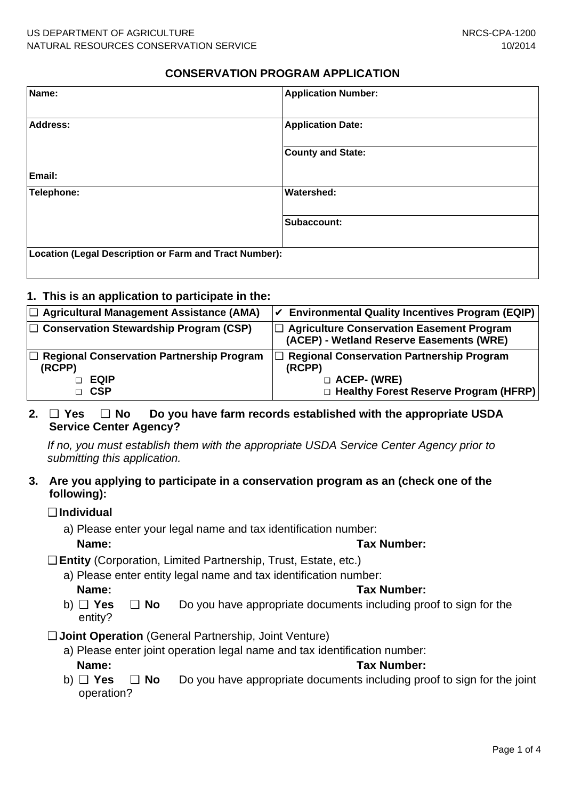## **CONSERVATION PROGRAM APPLICATION**

| Name:                                                  | <b>Application Number:</b> |
|--------------------------------------------------------|----------------------------|
| Address:                                               | <b>Application Date:</b>   |
|                                                        | <b>County and State:</b>   |
| Email:                                                 |                            |
| Telephone:                                             | <b>Watershed:</b>          |
|                                                        | Subaccount:                |
| Location (Legal Description or Farm and Tract Number): |                            |

## **1. This is an application to participate in the:**

| $\Box$ Agricultural Management Assistance (AMA)                                  | $ V $ Environmental Quality Incentives Program (EQIP)                                                                         |
|----------------------------------------------------------------------------------|-------------------------------------------------------------------------------------------------------------------------------|
| $\Box$ Conservation Stewardship Program (CSP)                                    | □ Agriculture Conservation Easement Program<br>(ACEP) - Wetland Reserve Easements (WRE)                                       |
| $\Box$ Regional Conservation Partnership Program<br>(RCPP)<br>EQIP<br><b>CSP</b> | $\Box$ Regional Conservation Partnership Program<br>(RCPP)<br><b>D</b> ACEP- (WRE)<br>□ Healthy Forest Reserve Program (HFRP) |

## **2.** ❑ **Yes** ❑ **No Do you have farm records established with the appropriate USDA Service Center Agency?**

If no, you must establish them with the appropriate USDA Service Center Agency prior to submitting this application.

#### **3. Are you applying to participate in a conservation program as an (check one of the following):**

#### ❑ **Individual**

a) Please enter your legal name and tax identification number: **Name: Tax Number:**

- ❑ **Entity** (Corporation, Limited Partnership, Trust, Estate, etc.)
	- a) Please enter entity legal name and tax identification number:

#### **Name: Tax Number:**

- b) ❑ **Yes** ❑ **No** Do you have appropriate documents including proof to sign for the entity?
- ❑ **Joint Operation** (General Partnership, Joint Venture)
	- a) Please enter joint operation legal name and tax identification number: **Name: Tax Number:**
	- b) ❑ **Yes** ❑ **No** Do you have appropriate documents including proof to sign for the joint operation?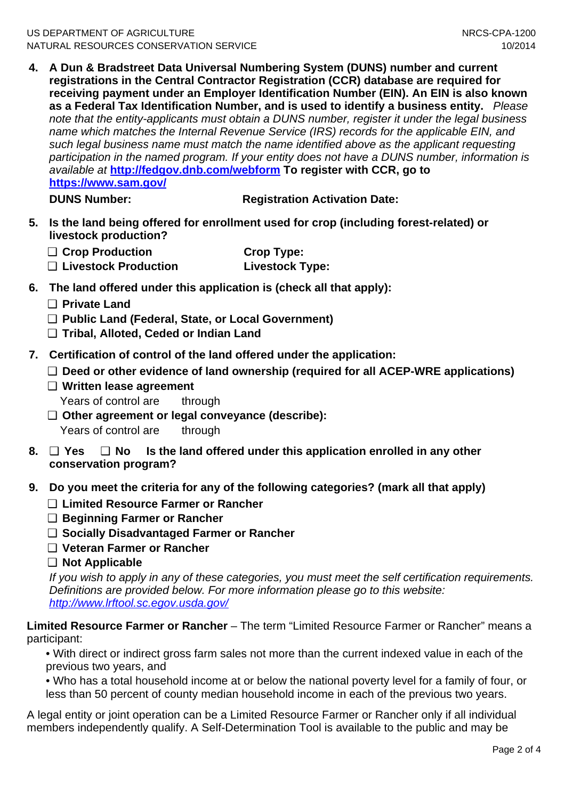**4. A Dun & Bradstreet Data Universal Numbering System (DUNS) number and current registrations in the Central Contractor Registration (CCR) database are required for receiving payment under an Employer Identification Number (EIN). An EIN is also known as a Federal Tax Identification Number, and is used to identify a business entity.** Please note that the entity-applicants must obtain a DUNS number, register it under the legal business name which matches the Internal Revenue Service (IRS) records for the applicable EIN, and such legal business name must match the name identified above as the applicant requesting participation in the named program. If your entity does not have a DUNS number, information is available at **http://fedgov.dnb.com/webform To register with CCR, go to https://www.sam.gov/**

**DUNS Number:** Registration Activation Date:

- **5. Is the land being offered for enrollment used for crop (including forest-related) or livestock production?**
	- □ Crop Production **Crop Type:** ❑ **Livestock Production Livestock Type:**
- **6. The land offered under this application is (check all that apply):**
	- ❑ **Private Land**
	- ❑ **Public Land (Federal, State, or Local Government)**
	- ❑ **Tribal, Alloted, Ceded or Indian Land**
- **7. Certification of control of the land offered under the application:**
	- ❑ **Deed or other evidence of land ownership (required for all ACEP-WRE applications)**
	- ❑ **Written lease agreement** Years of control are through
	- ❑ **Other agreement or legal conveyance (describe):** Years of control are through
- **8.** ❑ **Yes** ❑ **No Is the land offered under this application enrolled in any other conservation program?**
- **9. Do you meet the criteria for any of the following categories? (mark all that apply)**
	- ❑ **Limited Resource Farmer or Rancher**
	- ❑ **Beginning Farmer or Rancher**
	- ❑ **Socially Disadvantaged Farmer or Rancher**
	- ❑ **Veteran Farmer or Rancher**
	- ❑ **Not Applicable**

If you wish to apply in any of these categories, you must meet the self certification requirements. Definitions are provided below. For more information please go to this website: http://www.lrftool.sc.egov.usda.gov/

**Limited Resource Farmer or Rancher** – The term "Limited Resource Farmer or Rancher" means a participant:

• With direct or indirect gross farm sales not more than the current indexed value in each of the previous two years, and

• Who has a total household income at or below the national poverty level for a family of four, or less than 50 percent of county median household income in each of the previous two years.

A legal entity or joint operation can be a Limited Resource Farmer or Rancher only if all individual members independently qualify. A Self-Determination Tool is available to the public and may be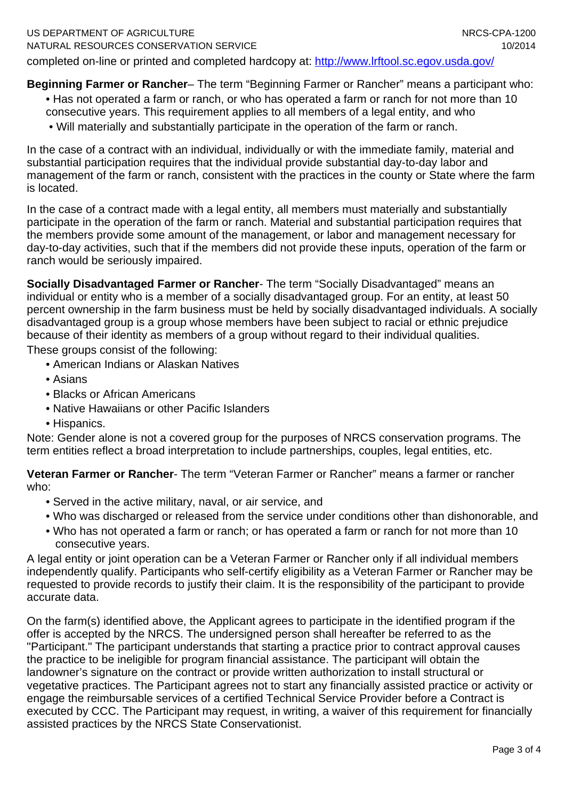completed on-line or printed and completed hardcopy at: http://www.lrftool.sc.egov.usda.gov/

# **Beginning Farmer or Rancher**– The term "Beginning Farmer or Rancher" means a participant who:

- Has not operated a farm or ranch, or who has operated a farm or ranch for not more than 10 consecutive years. This requirement applies to all members of a legal entity, and who
	- Will materially and substantially participate in the operation of the farm or ranch.

In the case of a contract with an individual, individually or with the immediate family, material and substantial participation requires that the individual provide substantial day-to-day labor and management of the farm or ranch, consistent with the practices in the county or State where the farm is located.

In the case of a contract made with a legal entity, all members must materially and substantially participate in the operation of the farm or ranch. Material and substantial participation requires that the members provide some amount of the management, or labor and management necessary for day-to-day activities, such that if the members did not provide these inputs, operation of the farm or ranch would be seriously impaired.

**Socially Disadvantaged Farmer or Rancher**- The term "Socially Disadvantaged" means an individual or entity who is a member of a socially disadvantaged group. For an entity, at least 50 percent ownership in the farm business must be held by socially disadvantaged individuals. A socially disadvantaged group is a group whose members have been subject to racial or ethnic prejudice because of their identity as members of a group without regard to their individual qualities. These groups consist of the following:

- American Indians or Alaskan Natives
- Asians
- Blacks or African Americans
- Native Hawaiians or other Pacific Islanders
- Hispanics.

Note: Gender alone is not a covered group for the purposes of NRCS conservation programs. The term entities reflect a broad interpretation to include partnerships, couples, legal entities, etc.

**Veteran Farmer or Rancher**- The term "Veteran Farmer or Rancher" means a farmer or rancher who:

- Served in the active military, naval, or air service, and
- Who was discharged or released from the service under conditions other than dishonorable, and
- Who has not operated a farm or ranch; or has operated a farm or ranch for not more than 10 consecutive years.

A legal entity or joint operation can be a Veteran Farmer or Rancher only if all individual members independently qualify. Participants who self-certify eligibility as a Veteran Farmer or Rancher may be requested to provide records to justify their claim. It is the responsibility of the participant to provide accurate data.

On the farm(s) identified above, the Applicant agrees to participate in the identified program if the offer is accepted by the NRCS. The undersigned person shall hereafter be referred to as the "Participant." The participant understands that starting a practice prior to contract approval causes the practice to be ineligible for program financial assistance. The participant will obtain the landowner's signature on the contract or provide written authorization to install structural or vegetative practices. The Participant agrees not to start any financially assisted practice or activity or engage the reimbursable services of a certified Technical Service Provider before a Contract is executed by CCC. The Participant may request, in writing, a waiver of this requirement for financially assisted practices by the NRCS State Conservationist.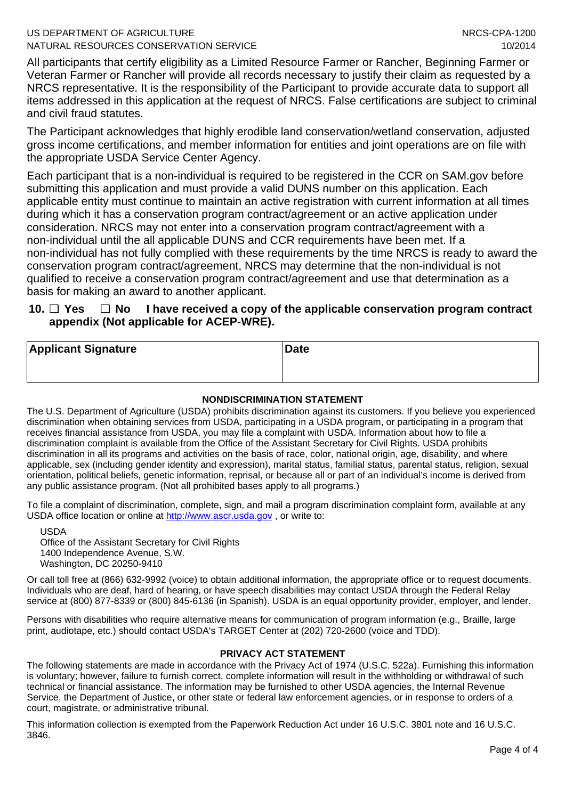#### US DEPARTMENT OF AGRICULTURE NATURAL RESOURCES CONSERVATION SERVICE

All participants that certify eligibility as a Limited Resource Farmer or Rancher, Beginning Farmer or Veteran Farmer or Rancher will provide all records necessary to justify their claim as requested by a NRCS representative. It is the responsibility of the Participant to provide accurate data to support all items addressed in this application at the request of NRCS. False certifications are subject to criminal and civil fraud statutes.

The Participant acknowledges that highly erodible land conservation/wetland conservation, adjusted gross income certifications, and member information for entities and joint operations are on file with the appropriate USDA Service Center Agency.

Each participant that is a non-individual is required to be registered in the CCR on SAM.gov before submitting this application and must provide a valid DUNS number on this application. Each applicable entity must continue to maintain an active registration with current information at all times during which it has a conservation program contract/agreement or an active application under consideration. NRCS may not enter into a conservation program contract/agreement with a non-individual until the all applicable DUNS and CCR requirements have been met. If a non-individual has not fully complied with these requirements by the time NRCS is ready to award the conservation program contract/agreement, NRCS may determine that the non-individual is not qualified to receive a conservation program contract/agreement and use that determination as a basis for making an award to another applicant.

#### **10.** ❑ **Yes** ❑ **No I have received a copy of the applicable conservation program contract appendix (Not applicable for ACEP-WRE).**

| <b>Applicant Signature</b> | Date |
|----------------------------|------|
|                            |      |

#### **NONDISCRIMINATION STATEMENT**

The U.S. Department of Agriculture (USDA) prohibits discrimination against its customers. If you believe you experienced discrimination when obtaining services from USDA, participating in a USDA program, or participating in a program that receives financial assistance from USDA, you may file a complaint with USDA. Information about how to file a discrimination complaint is available from the Office of the Assistant Secretary for Civil Rights. USDA prohibits discrimination in all its programs and activities on the basis of race, color, national origin, age, disability, and where applicable, sex (including gender identity and expression), marital status, familial status, parental status, religion, sexual orientation, political beliefs, genetic information, reprisal, or because all or part of an individual's income is derived from any public assistance program. (Not all prohibited bases apply to all programs.)

To file a complaint of discrimination, complete, sign, and mail a program discrimination complaint form, available at any USDA office location or online at http://www.ascr.usda.gov , or write to:

USDA Office of the Assistant Secretary for Civil Rights 1400 Independence Avenue, S.W. Washington, DC 20250-9410

Or call toll free at (866) 632-9992 (voice) to obtain additional information, the appropriate office or to request documents. Individuals who are deaf, hard of hearing, or have speech disabilities may contact USDA through the Federal Relay service at (800) 877-8339 or (800) 845-6136 (in Spanish). USDA is an equal opportunity provider, employer, and lender.

Persons with disabilities who require alternative means for communication of program information (e.g., Braille, large print, audiotape, etc.) should contact USDA's TARGET Center at (202) 720-2600 (voice and TDD).

#### **PRIVACY ACT STATEMENT**

The following statements are made in accordance with the Privacy Act of 1974 (U.S.C. 522a). Furnishing this information is voluntary; however, failure to furnish correct, complete information will result in the withholding or withdrawal of such technical or financial assistance. The information may be furnished to other USDA agencies, the Internal Revenue Service, the Department of Justice, or other state or federal law enforcement agencies, or in response to orders of a court, magistrate, or administrative tribunal.

This information collection is exempted from the Paperwork Reduction Act under 16 U.S.C. 3801 note and 16 U.S.C. 3846.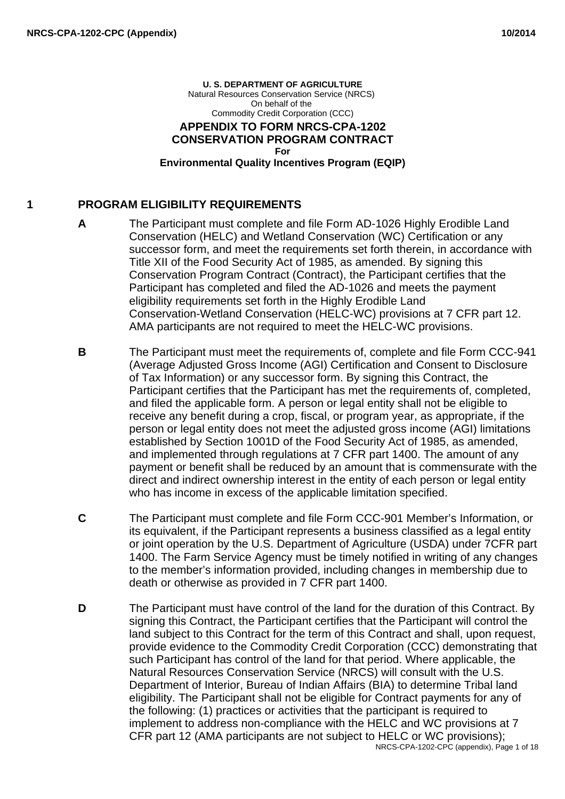#### **U. S. DEPARTMENT OF AGRICULTURE** Natural Resources Conservation Service (NRCS) On behalf of the Commodity Credit Corporation (CCC) **APPENDIX TO FORM NRCS-CPA-1202 CONSERVATION PROGRAM CONTRACT For Environmental Quality Incentives Program (EQIP)**

## **1 PROGRAM ELIGIBILITY REQUIREMENTS**

- **A** The Participant must complete and file Form AD-1026 Highly Erodible Land Conservation (HELC) and Wetland Conservation (WC) Certification or any successor form, and meet the requirements set forth therein, in accordance with Title XII of the Food Security Act of 1985, as amended. By signing this Conservation Program Contract (Contract), the Participant certifies that the Participant has completed and filed the AD-1026 and meets the payment eligibility requirements set forth in the Highly Erodible Land Conservation-Wetland Conservation (HELC-WC) provisions at 7 CFR part 12. AMA participants are not required to meet the HELC-WC provisions.
- **B** The Participant must meet the requirements of, complete and file Form CCC-941 (Average Adjusted Gross Income (AGI) Certification and Consent to Disclosure of Tax Information) or any successor form. By signing this Contract, the Participant certifies that the Participant has met the requirements of, completed, and filed the applicable form. A person or legal entity shall not be eligible to receive any benefit during a crop, fiscal, or program year, as appropriate, if the person or legal entity does not meet the adjusted gross income (AGI) limitations established by Section 1001D of the Food Security Act of 1985, as amended, and implemented through regulations at 7 CFR part 1400. The amount of any payment or benefit shall be reduced by an amount that is commensurate with the direct and indirect ownership interest in the entity of each person or legal entity who has income in excess of the applicable limitation specified.
- **C** The Participant must complete and file Form CCC-901 Member's Information, or its equivalent, if the Participant represents a business classified as a legal entity or joint operation by the U.S. Department of Agriculture (USDA) under 7CFR part 1400. The Farm Service Agency must be timely notified in writing of any changes to the member's information provided, including changes in membership due to death or otherwise as provided in 7 CFR part 1400.
- **D** The Participant must have control of the land for the duration of this Contract. By signing this Contract, the Participant certifies that the Participant will control the land subject to this Contract for the term of this Contract and shall, upon request, provide evidence to the Commodity Credit Corporation (CCC) demonstrating that such Participant has control of the land for that period. Where applicable, the Natural Resources Conservation Service (NRCS) will consult with the U.S. Department of Interior, Bureau of Indian Affairs (BIA) to determine Tribal land eligibility. The Participant shall not be eligible for Contract payments for any of the following: (1) practices or activities that the participant is required to implement to address non-compliance with the HELC and WC provisions at 7 CFR part 12 (AMA participants are not subject to HELC or WC provisions); NRCS-CPA-1202-CPC (appendix), Page 1 of 18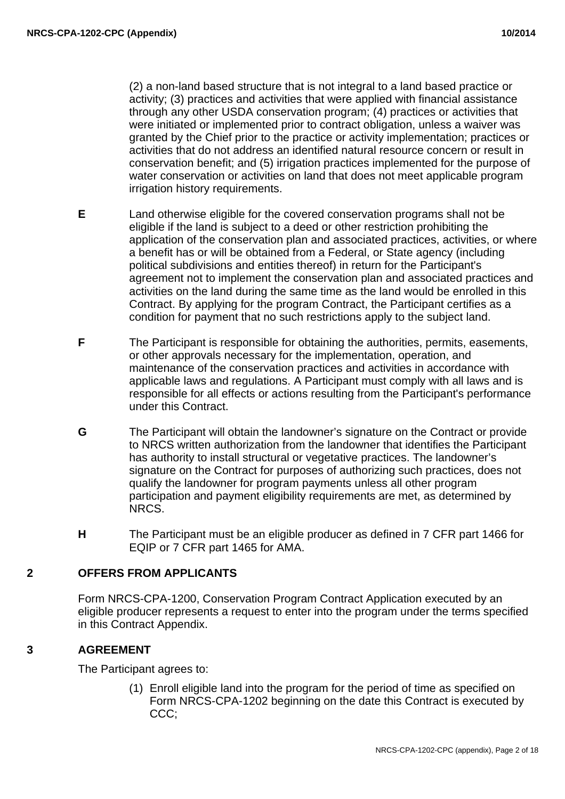(2) a non-land based structure that is not integral to a land based practice or activity; (3) practices and activities that were applied with financial assistance through any other USDA conservation program; (4) practices or activities that were initiated or implemented prior to contract obligation, unless a waiver was granted by the Chief prior to the practice or activity implementation; practices or activities that do not address an identified natural resource concern or result in conservation benefit; and (5) irrigation practices implemented for the purpose of water conservation or activities on land that does not meet applicable program irrigation history requirements.

- **E** Land otherwise eligible for the covered conservation programs shall not be eligible if the land is subject to a deed or other restriction prohibiting the application of the conservation plan and associated practices, activities, or where a benefit has or will be obtained from a Federal, or State agency (including political subdivisions and entities thereof) in return for the Participant's agreement not to implement the conservation plan and associated practices and activities on the land during the same time as the land would be enrolled in this Contract. By applying for the program Contract, the Participant certifies as a condition for payment that no such restrictions apply to the subject land.
- **F** The Participant is responsible for obtaining the authorities, permits, easements, or other approvals necessary for the implementation, operation, and maintenance of the conservation practices and activities in accordance with applicable laws and regulations. A Participant must comply with all laws and is responsible for all effects or actions resulting from the Participant's performance under this Contract.
- **G** The Participant will obtain the landowner's signature on the Contract or provide to NRCS written authorization from the landowner that identifies the Participant has authority to install structural or vegetative practices. The landowner's signature on the Contract for purposes of authorizing such practices, does not qualify the landowner for program payments unless all other program participation and payment eligibility requirements are met, as determined by NRCS.
- **H** The Participant must be an eligible producer as defined in 7 CFR part 1466 for EQIP or 7 CFR part 1465 for AMA.

## **2 OFFERS FROM APPLICANTS**

Form NRCS-CPA-1200, Conservation Program Contract Application executed by an eligible producer represents a request to enter into the program under the terms specified in this Contract Appendix.

# **3 AGREEMENT**

The Participant agrees to:

(1) Enroll eligible land into the program for the period of time as specified on Form NRCS-CPA-1202 beginning on the date this Contract is executed by CCC;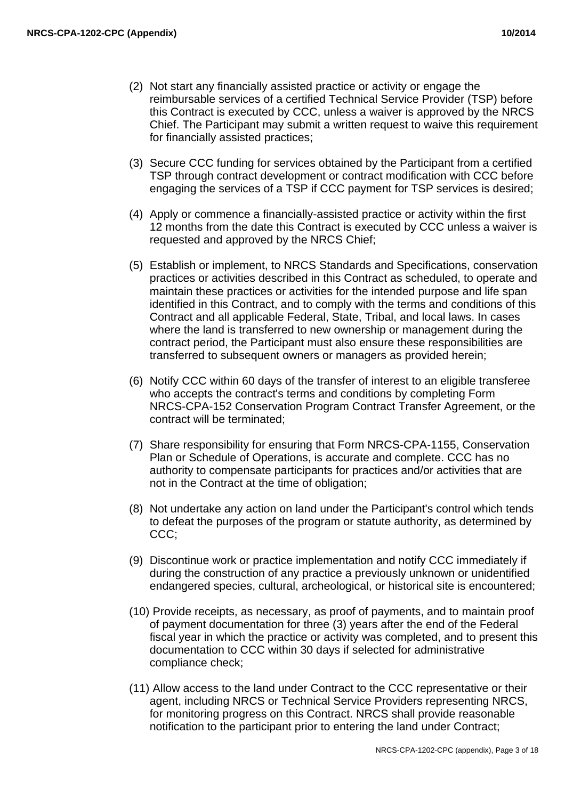- (2) Not start any financially assisted practice or activity or engage the reimbursable services of a certified Technical Service Provider (TSP) before this Contract is executed by CCC, unless a waiver is approved by the NRCS Chief. The Participant may submit a written request to waive this requirement for financially assisted practices;
- (3) Secure CCC funding for services obtained by the Participant from a certified TSP through contract development or contract modification with CCC before engaging the services of a TSP if CCC payment for TSP services is desired;
- (4) Apply or commence a financially-assisted practice or activity within the first 12 months from the date this Contract is executed by CCC unless a waiver is requested and approved by the NRCS Chief;
- (5) Establish or implement, to NRCS Standards and Specifications, conservation practices or activities described in this Contract as scheduled, to operate and maintain these practices or activities for the intended purpose and life span identified in this Contract, and to comply with the terms and conditions of this Contract and all applicable Federal, State, Tribal, and local laws. In cases where the land is transferred to new ownership or management during the contract period, the Participant must also ensure these responsibilities are transferred to subsequent owners or managers as provided herein;
- (6) Notify CCC within 60 days of the transfer of interest to an eligible transferee who accepts the contract's terms and conditions by completing Form NRCS-CPA-152 Conservation Program Contract Transfer Agreement, or the contract will be terminated;
- (7) Share responsibility for ensuring that Form NRCS-CPA-1155, Conservation Plan or Schedule of Operations, is accurate and complete. CCC has no authority to compensate participants for practices and/or activities that are not in the Contract at the time of obligation;
- (8) Not undertake any action on land under the Participant's control which tends to defeat the purposes of the program or statute authority, as determined by CCC;
- (9) Discontinue work or practice implementation and notify CCC immediately if during the construction of any practice a previously unknown or unidentified endangered species, cultural, archeological, or historical site is encountered;
- (10) Provide receipts, as necessary, as proof of payments, and to maintain proof of payment documentation for three (3) years after the end of the Federal fiscal year in which the practice or activity was completed, and to present this documentation to CCC within 30 days if selected for administrative compliance check;
- (11) Allow access to the land under Contract to the CCC representative or their agent, including NRCS or Technical Service Providers representing NRCS, for monitoring progress on this Contract. NRCS shall provide reasonable notification to the participant prior to entering the land under Contract;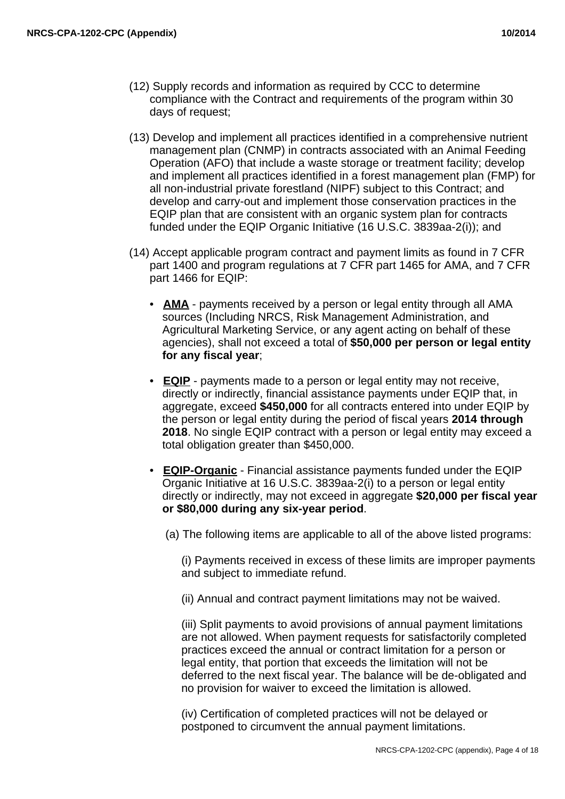- (12) Supply records and information as required by CCC to determine compliance with the Contract and requirements of the program within 30 days of request;
- (13) Develop and implement all practices identified in a comprehensive nutrient management plan (CNMP) in contracts associated with an Animal Feeding Operation (AFO) that include a waste storage or treatment facility; develop and implement all practices identified in a forest management plan (FMP) for all non-industrial private forestland (NIPF) subject to this Contract; and develop and carry-out and implement those conservation practices in the EQIP plan that are consistent with an organic system plan for contracts funded under the EQIP Organic Initiative (16 U.S.C. 3839aa-2(i)); and
- (14) Accept applicable program contract and payment limits as found in 7 CFR part 1400 and program regulations at 7 CFR part 1465 for AMA, and 7 CFR part 1466 for EQIP:
	- **AMA** payments received by a person or legal entity through all AMA sources (Including NRCS, Risk Management Administration, and Agricultural Marketing Service, or any agent acting on behalf of these agencies), shall not exceed a total of **\$50,000 per person or legal entity for any fiscal year**;
	- **EQIP** payments made to a person or legal entity may not receive, directly or indirectly, financial assistance payments under EQIP that, in aggregate, exceed **\$450,000** for all contracts entered into under EQIP by the person or legal entity during the period of fiscal years **2014 through 2018**. No single EQIP contract with a person or legal entity may exceed a total obligation greater than \$450,000.
	- **EQIP-Organic** Financial assistance payments funded under the EQIP Organic Initiative at 16 U.S.C. 3839aa-2(i) to a person or legal entity directly or indirectly, may not exceed in aggregate **\$20,000 per fiscal year or \$80,000 during any six-year period**.
		- (a) The following items are applicable to all of the above listed programs:

(i) Payments received in excess of these limits are improper payments and subject to immediate refund.

(ii) Annual and contract payment limitations may not be waived.

(iii) Split payments to avoid provisions of annual payment limitations are not allowed. When payment requests for satisfactorily completed practices exceed the annual or contract limitation for a person or legal entity, that portion that exceeds the limitation will not be deferred to the next fiscal year. The balance will be de-obligated and no provision for waiver to exceed the limitation is allowed.

(iv) Certification of completed practices will not be delayed or postponed to circumvent the annual payment limitations.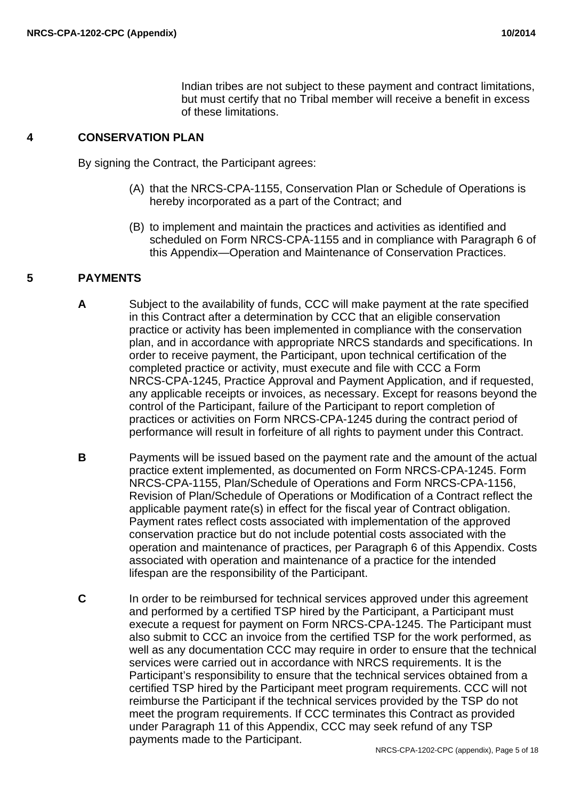Indian tribes are not subject to these payment and contract limitations, but must certify that no Tribal member will receive a benefit in excess of these limitations.

#### **4 CONSERVATION PLAN**

By signing the Contract, the Participant agrees:

- (A) that the NRCS-CPA-1155, Conservation Plan or Schedule of Operations is hereby incorporated as a part of the Contract; and
- (B) to implement and maintain the practices and activities as identified and scheduled on Form NRCS-CPA-1155 and in compliance with Paragraph 6 of this Appendix—Operation and Maintenance of Conservation Practices.

# **5 PAYMENTS**

- **A** Subject to the availability of funds, CCC will make payment at the rate specified in this Contract after a determination by CCC that an eligible conservation practice or activity has been implemented in compliance with the conservation plan, and in accordance with appropriate NRCS standards and specifications. In order to receive payment, the Participant, upon technical certification of the completed practice or activity, must execute and file with CCC a Form NRCS-CPA-1245, Practice Approval and Payment Application, and if requested, any applicable receipts or invoices, as necessary. Except for reasons beyond the control of the Participant, failure of the Participant to report completion of practices or activities on Form NRCS-CPA-1245 during the contract period of performance will result in forfeiture of all rights to payment under this Contract.
- **B** Payments will be issued based on the payment rate and the amount of the actual practice extent implemented, as documented on Form NRCS-CPA-1245. Form NRCS-CPA-1155, Plan/Schedule of Operations and Form NRCS-CPA-1156, Revision of Plan/Schedule of Operations or Modification of a Contract reflect the applicable payment rate(s) in effect for the fiscal year of Contract obligation. Payment rates reflect costs associated with implementation of the approved conservation practice but do not include potential costs associated with the operation and maintenance of practices, per Paragraph 6 of this Appendix. Costs associated with operation and maintenance of a practice for the intended lifespan are the responsibility of the Participant.
- **C** In order to be reimbursed for technical services approved under this agreement and performed by a certified TSP hired by the Participant, a Participant must execute a request for payment on Form NRCS-CPA-1245. The Participant must also submit to CCC an invoice from the certified TSP for the work performed, as well as any documentation CCC may require in order to ensure that the technical services were carried out in accordance with NRCS requirements. It is the Participant's responsibility to ensure that the technical services obtained from a certified TSP hired by the Participant meet program requirements. CCC will not reimburse the Participant if the technical services provided by the TSP do not meet the program requirements. If CCC terminates this Contract as provided under Paragraph 11 of this Appendix, CCC may seek refund of any TSP payments made to the Participant.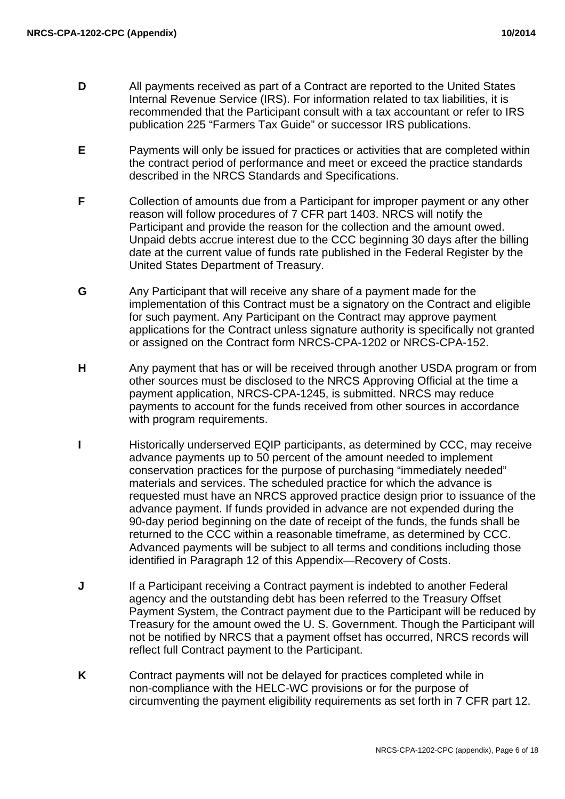- **D** All payments received as part of a Contract are reported to the United States Internal Revenue Service (IRS). For information related to tax liabilities, it is recommended that the Participant consult with a tax accountant or refer to IRS publication 225 "Farmers Tax Guide" or successor IRS publications.
- **E** Payments will only be issued for practices or activities that are completed within the contract period of performance and meet or exceed the practice standards described in the NRCS Standards and Specifications.
- **F** Collection of amounts due from a Participant for improper payment or any other reason will follow procedures of 7 CFR part 1403. NRCS will notify the Participant and provide the reason for the collection and the amount owed. Unpaid debts accrue interest due to the CCC beginning 30 days after the billing date at the current value of funds rate published in the Federal Register by the United States Department of Treasury.
- **G** Any Participant that will receive any share of a payment made for the implementation of this Contract must be a signatory on the Contract and eligible for such payment. Any Participant on the Contract may approve payment applications for the Contract unless signature authority is specifically not granted or assigned on the Contract form NRCS-CPA-1202 or NRCS-CPA-152.
- **H** Any payment that has or will be received through another USDA program or from other sources must be disclosed to the NRCS Approving Official at the time a payment application, NRCS-CPA-1245, is submitted. NRCS may reduce payments to account for the funds received from other sources in accordance with program requirements.
- **I** Historically underserved EQIP participants, as determined by CCC, may receive advance payments up to 50 percent of the amount needed to implement conservation practices for the purpose of purchasing "immediately needed" materials and services. The scheduled practice for which the advance is requested must have an NRCS approved practice design prior to issuance of the advance payment. If funds provided in advance are not expended during the 90-day period beginning on the date of receipt of the funds, the funds shall be returned to the CCC within a reasonable timeframe, as determined by CCC. Advanced payments will be subject to all terms and conditions including those identified in Paragraph 12 of this Appendix—Recovery of Costs.
- **J** If a Participant receiving a Contract payment is indebted to another Federal agency and the outstanding debt has been referred to the Treasury Offset Payment System, the Contract payment due to the Participant will be reduced by Treasury for the amount owed the U. S. Government. Though the Participant will not be notified by NRCS that a payment offset has occurred, NRCS records will reflect full Contract payment to the Participant.
- **K** Contract payments will not be delayed for practices completed while in non-compliance with the HELC-WC provisions or for the purpose of circumventing the payment eligibility requirements as set forth in 7 CFR part 12.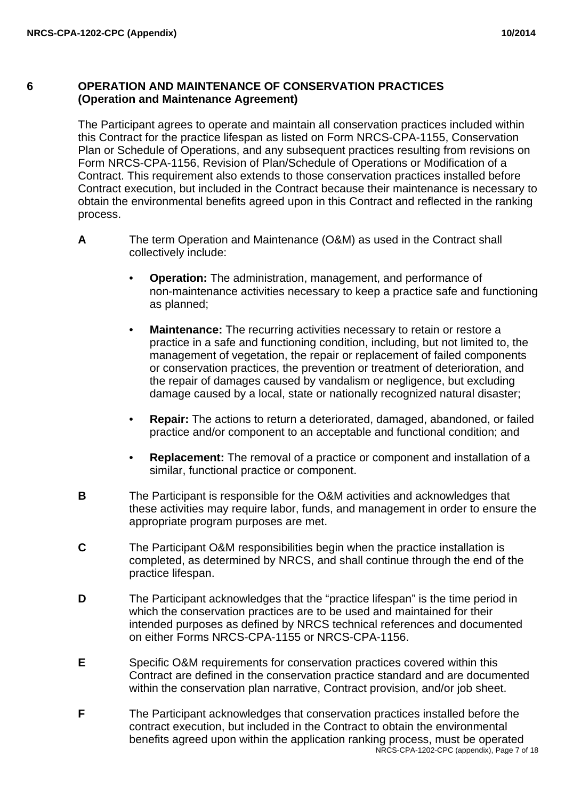#### **6 OPERATION AND MAINTENANCE OF CONSERVATION PRACTICES (Operation and Maintenance Agreement)**

The Participant agrees to operate and maintain all conservation practices included within this Contract for the practice lifespan as listed on Form NRCS-CPA-1155, Conservation Plan or Schedule of Operations, and any subsequent practices resulting from revisions on Form NRCS-CPA-1156, Revision of Plan/Schedule of Operations or Modification of a Contract. This requirement also extends to those conservation practices installed before Contract execution, but included in the Contract because their maintenance is necessary to obtain the environmental benefits agreed upon in this Contract and reflected in the ranking process.

- **A** The term Operation and Maintenance (O&M) as used in the Contract shall collectively include:
	- **Operation:** The administration, management, and performance of non-maintenance activities necessary to keep a practice safe and functioning as planned;
	- **Maintenance:** The recurring activities necessary to retain or restore a practice in a safe and functioning condition, including, but not limited to, the management of vegetation, the repair or replacement of failed components or conservation practices, the prevention or treatment of deterioration, and the repair of damages caused by vandalism or negligence, but excluding damage caused by a local, state or nationally recognized natural disaster;
	- **Repair:** The actions to return a deteriorated, damaged, abandoned, or failed practice and/or component to an acceptable and functional condition; and
	- **Replacement:** The removal of a practice or component and installation of a similar, functional practice or component.
- **B** The Participant is responsible for the O&M activities and acknowledges that these activities may require labor, funds, and management in order to ensure the appropriate program purposes are met.
- **C** The Participant O&M responsibilities begin when the practice installation is completed, as determined by NRCS, and shall continue through the end of the practice lifespan.
- **D** The Participant acknowledges that the "practice lifespan" is the time period in which the conservation practices are to be used and maintained for their intended purposes as defined by NRCS technical references and documented on either Forms NRCS-CPA-1155 or NRCS-CPA-1156.
- **E** Specific O&M requirements for conservation practices covered within this Contract are defined in the conservation practice standard and are documented within the conservation plan narrative, Contract provision, and/or job sheet.
- **F** The Participant acknowledges that conservation practices installed before the contract execution, but included in the Contract to obtain the environmental benefits agreed upon within the application ranking process, must be operated NRCS-CPA-1202-CPC (appendix), Page 7 of 18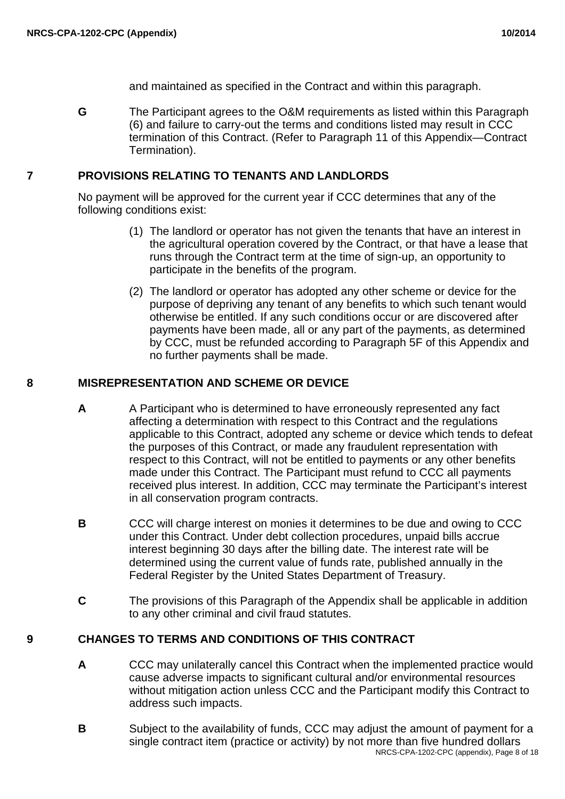and maintained as specified in the Contract and within this paragraph.

**G** The Participant agrees to the O&M requirements as listed within this Paragraph (6) and failure to carry-out the terms and conditions listed may result in CCC termination of this Contract. (Refer to Paragraph 11 of this Appendix—Contract Termination).

#### **7 PROVISIONS RELATING TO TENANTS AND LANDLORDS**

No payment will be approved for the current year if CCC determines that any of the following conditions exist:

- (1) The landlord or operator has not given the tenants that have an interest in the agricultural operation covered by the Contract, or that have a lease that runs through the Contract term at the time of sign-up, an opportunity to participate in the benefits of the program.
- (2) The landlord or operator has adopted any other scheme or device for the purpose of depriving any tenant of any benefits to which such tenant would otherwise be entitled. If any such conditions occur or are discovered after payments have been made, all or any part of the payments, as determined by CCC, must be refunded according to Paragraph 5F of this Appendix and no further payments shall be made.

## **8 MISREPRESENTATION AND SCHEME OR DEVICE**

- **A** A Participant who is determined to have erroneously represented any fact affecting a determination with respect to this Contract and the regulations applicable to this Contract, adopted any scheme or device which tends to defeat the purposes of this Contract, or made any fraudulent representation with respect to this Contract, will not be entitled to payments or any other benefits made under this Contract. The Participant must refund to CCC all payments received plus interest. In addition, CCC may terminate the Participant's interest in all conservation program contracts.
- **B** CCC will charge interest on monies it determines to be due and owing to CCC under this Contract. Under debt collection procedures, unpaid bills accrue interest beginning 30 days after the billing date. The interest rate will be determined using the current value of funds rate, published annually in the Federal Register by the United States Department of Treasury.
- **C** The provisions of this Paragraph of the Appendix shall be applicable in addition to any other criminal and civil fraud statutes.

## **9 CHANGES TO TERMS AND CONDITIONS OF THIS CONTRACT**

- **A** CCC may unilaterally cancel this Contract when the implemented practice would cause adverse impacts to significant cultural and/or environmental resources without mitigation action unless CCC and the Participant modify this Contract to address such impacts.
- **B** Subject to the availability of funds, CCC may adjust the amount of payment for a single contract item (practice or activity) by not more than five hundred dollars NRCS-CPA-1202-CPC (appendix), Page 8 of 18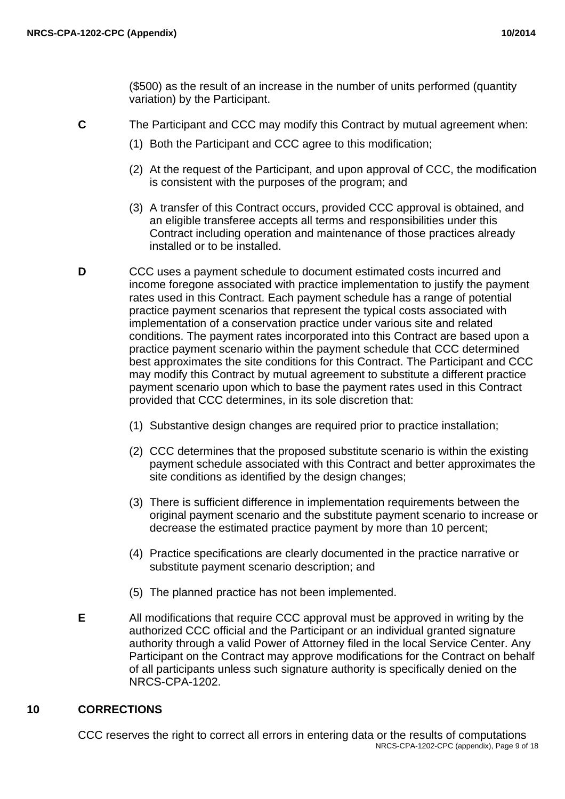(\$500) as the result of an increase in the number of units performed (quantity variation) by the Participant.

- **C** The Participant and CCC may modify this Contract by mutual agreement when:
	- (1) Both the Participant and CCC agree to this modification;
	- (2) At the request of the Participant, and upon approval of CCC, the modification is consistent with the purposes of the program; and
	- (3) A transfer of this Contract occurs, provided CCC approval is obtained, and an eligible transferee accepts all terms and responsibilities under this Contract including operation and maintenance of those practices already installed or to be installed.
- **D** CCC uses a payment schedule to document estimated costs incurred and income foregone associated with practice implementation to justify the payment rates used in this Contract. Each payment schedule has a range of potential practice payment scenarios that represent the typical costs associated with implementation of a conservation practice under various site and related conditions. The payment rates incorporated into this Contract are based upon a practice payment scenario within the payment schedule that CCC determined best approximates the site conditions for this Contract. The Participant and CCC may modify this Contract by mutual agreement to substitute a different practice payment scenario upon which to base the payment rates used in this Contract provided that CCC determines, in its sole discretion that:
	- (1) Substantive design changes are required prior to practice installation;
	- (2) CCC determines that the proposed substitute scenario is within the existing payment schedule associated with this Contract and better approximates the site conditions as identified by the design changes;
	- (3) There is sufficient difference in implementation requirements between the original payment scenario and the substitute payment scenario to increase or decrease the estimated practice payment by more than 10 percent;
	- (4) Practice specifications are clearly documented in the practice narrative or substitute payment scenario description; and
	- (5) The planned practice has not been implemented.
- **E** All modifications that require CCC approval must be approved in writing by the authorized CCC official and the Participant or an individual granted signature authority through a valid Power of Attorney filed in the local Service Center. Any Participant on the Contract may approve modifications for the Contract on behalf of all participants unless such signature authority is specifically denied on the NRCS-CPA-1202.

## **10 CORRECTIONS**

CCC reserves the right to correct all errors in entering data or the results of computations NRCS-CPA-1202-CPC (appendix), Page 9 of 18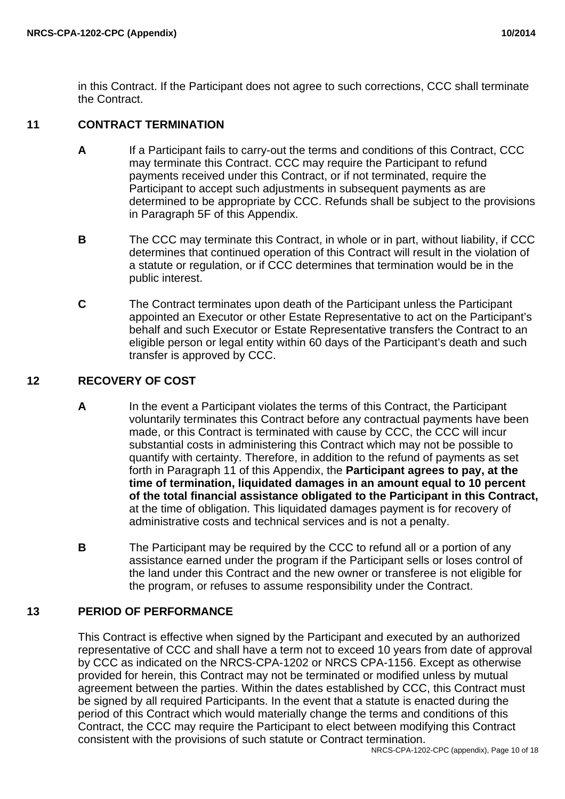in this Contract. If the Participant does not agree to such corrections, CCC shall terminate the Contract.

## **11 CONTRACT TERMINATION**

- **A** If a Participant fails to carry-out the terms and conditions of this Contract, CCC may terminate this Contract. CCC may require the Participant to refund payments received under this Contract, or if not terminated, require the Participant to accept such adjustments in subsequent payments as are determined to be appropriate by CCC. Refunds shall be subject to the provisions in Paragraph 5F of this Appendix.
- **B** The CCC may terminate this Contract, in whole or in part, without liability, if CCC determines that continued operation of this Contract will result in the violation of a statute or regulation, or if CCC determines that termination would be in the public interest.
- **C** The Contract terminates upon death of the Participant unless the Participant appointed an Executor or other Estate Representative to act on the Participant's behalf and such Executor or Estate Representative transfers the Contract to an eligible person or legal entity within 60 days of the Participant's death and such transfer is approved by CCC.

# **12 RECOVERY OF COST**

- **A** In the event a Participant violates the terms of this Contract, the Participant voluntarily terminates this Contract before any contractual payments have been made, or this Contract is terminated with cause by CCC, the CCC will incur substantial costs in administering this Contract which may not be possible to quantify with certainty. Therefore, in addition to the refund of payments as set forth in Paragraph 11 of this Appendix, the **Participant agrees to pay, at the time of termination, liquidated damages in an amount equal to 10 percent of the total financial assistance obligated to the Participant in this Contract,** at the time of obligation. This liquidated damages payment is for recovery of administrative costs and technical services and is not a penalty.
- **B** The Participant may be required by the CCC to refund all or a portion of any assistance earned under the program if the Participant sells or loses control of the land under this Contract and the new owner or transferee is not eligible for the program, or refuses to assume responsibility under the Contract.

# **13 PERIOD OF PERFORMANCE**

This Contract is effective when signed by the Participant and executed by an authorized representative of CCC and shall have a term not to exceed 10 years from date of approval by CCC as indicated on the NRCS-CPA-1202 or NRCS CPA-1156. Except as otherwise provided for herein, this Contract may not be terminated or modified unless by mutual agreement between the parties. Within the dates established by CCC, this Contract must be signed by all required Participants. In the event that a statute is enacted during the period of this Contract which would materially change the terms and conditions of this Contract, the CCC may require the Participant to elect between modifying this Contract consistent with the provisions of such statute or Contract termination.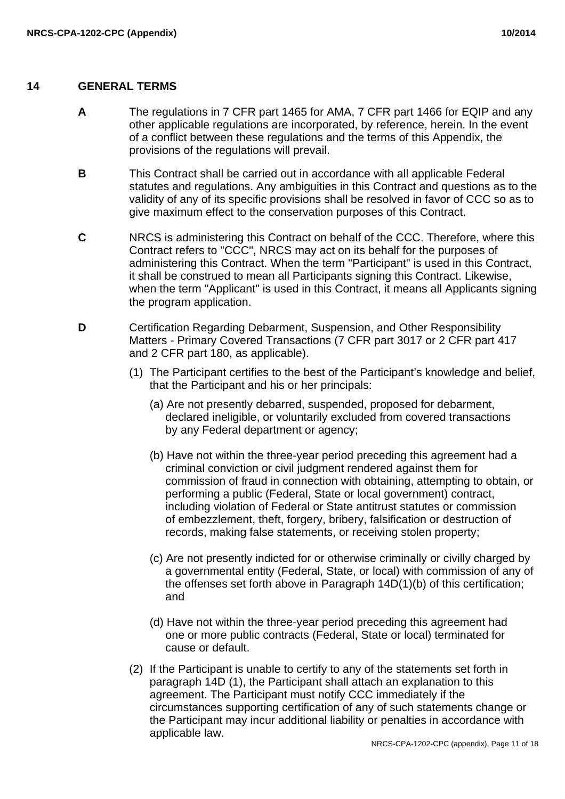# **14 GENERAL TERMS**

- **A** The regulations in 7 CFR part 1465 for AMA, 7 CFR part 1466 for EQIP and any other applicable regulations are incorporated, by reference, herein. In the event of a conflict between these regulations and the terms of this Appendix, the provisions of the regulations will prevail.
- **B** This Contract shall be carried out in accordance with all applicable Federal statutes and regulations. Any ambiguities in this Contract and questions as to the validity of any of its specific provisions shall be resolved in favor of CCC so as to give maximum effect to the conservation purposes of this Contract.
- **C** NRCS is administering this Contract on behalf of the CCC. Therefore, where this Contract refers to "CCC", NRCS may act on its behalf for the purposes of administering this Contract. When the term "Participant" is used in this Contract, it shall be construed to mean all Participants signing this Contract. Likewise, when the term "Applicant" is used in this Contract, it means all Applicants signing the program application.
- **D** Certification Regarding Debarment, Suspension, and Other Responsibility Matters - Primary Covered Transactions (7 CFR part 3017 or 2 CFR part 417 and 2 CFR part 180, as applicable).
	- (1) The Participant certifies to the best of the Participant's knowledge and belief, that the Participant and his or her principals:
		- (a) Are not presently debarred, suspended, proposed for debarment, declared ineligible, or voluntarily excluded from covered transactions by any Federal department or agency;
		- (b) Have not within the three-year period preceding this agreement had a criminal conviction or civil judgment rendered against them for commission of fraud in connection with obtaining, attempting to obtain, or performing a public (Federal, State or local government) contract, including violation of Federal or State antitrust statutes or commission of embezzlement, theft, forgery, bribery, falsification or destruction of records, making false statements, or receiving stolen property;
		- (c) Are not presently indicted for or otherwise criminally or civilly charged by a governmental entity (Federal, State, or local) with commission of any of the offenses set forth above in Paragraph 14D(1)(b) of this certification; and
		- (d) Have not within the three-year period preceding this agreement had one or more public contracts (Federal, State or local) terminated for cause or default.
	- (2) If the Participant is unable to certify to any of the statements set forth in paragraph 14D (1), the Participant shall attach an explanation to this agreement. The Participant must notify CCC immediately if the circumstances supporting certification of any of such statements change or the Participant may incur additional liability or penalties in accordance with applicable law.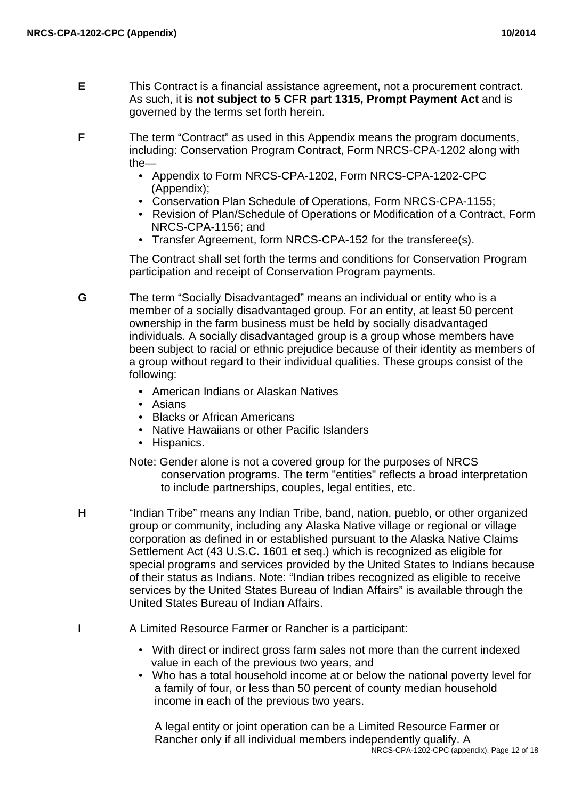**E** This Contract is a financial assistance agreement, not a procurement contract. As such, it is **not subject to 5 CFR part 1315, Prompt Payment Act** and is governed by the terms set forth herein.

**F** The term "Contract" as used in this Appendix means the program documents, including: Conservation Program Contract, Form NRCS-CPA-1202 along with the—

- Appendix to Form NRCS-CPA-1202, Form NRCS-CPA-1202-CPC (Appendix);
- Conservation Plan Schedule of Operations, Form NRCS-CPA-1155;
- Revision of Plan/Schedule of Operations or Modification of a Contract, Form NRCS-CPA-1156; and
- Transfer Agreement, form NRCS-CPA-152 for the transferee(s).

The Contract shall set forth the terms and conditions for Conservation Program participation and receipt of Conservation Program payments.

**G** The term "Socially Disadvantaged" means an individual or entity who is a member of a socially disadvantaged group. For an entity, at least 50 percent ownership in the farm business must be held by socially disadvantaged individuals. A socially disadvantaged group is a group whose members have been subject to racial or ethnic prejudice because of their identity as members of a group without regard to their individual qualities. These groups consist of the following:

- American Indians or Alaskan Natives
- Asians
- Blacks or African Americans
- Native Hawaiians or other Pacific Islanders
- Hispanics.

Note: Gender alone is not a covered group for the purposes of NRCS conservation programs. The term "entities" reflects a broad interpretation to include partnerships, couples, legal entities, etc.

- **H** "Indian Tribe" means any Indian Tribe, band, nation, pueblo, or other organized group or community, including any Alaska Native village or regional or village corporation as defined in or established pursuant to the Alaska Native Claims Settlement Act (43 U.S.C. 1601 et seq.) which is recognized as eligible for special programs and services provided by the United States to Indians because of their status as Indians. Note: "Indian tribes recognized as eligible to receive services by the United States Bureau of Indian Affairs" is available through the United States Bureau of Indian Affairs.
- **I** A Limited Resource Farmer or Rancher is a participant:
	- With direct or indirect gross farm sales not more than the current indexed value in each of the previous two years, and
	- Who has a total household income at or below the national poverty level for a family of four, or less than 50 percent of county median household income in each of the previous two years.

A legal entity or joint operation can be a Limited Resource Farmer or Rancher only if all individual members independently qualify. A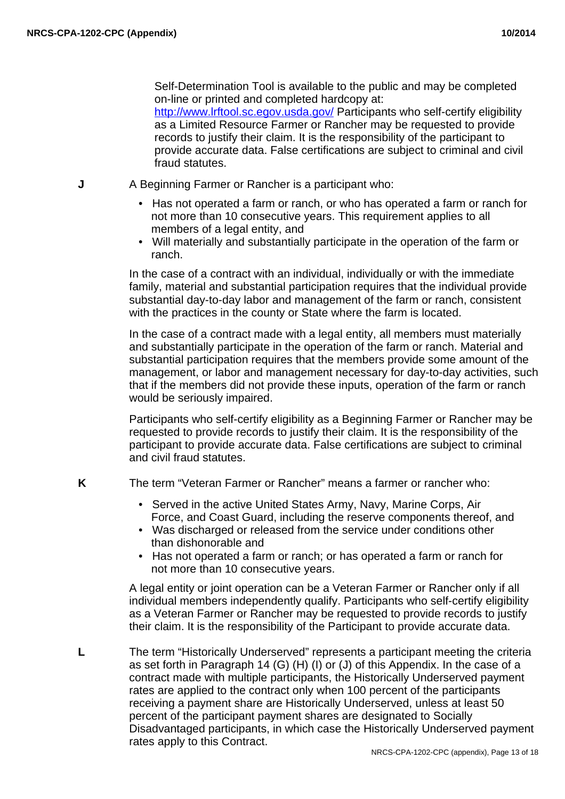Self-Determination Tool is available to the public and may be completed on-line or printed and completed hardcopy at: http://www.lrftool.sc.egov.usda.gov/ Participants who self-certify eligibility as a Limited Resource Farmer or Rancher may be requested to provide records to justify their claim. It is the responsibility of the participant to provide accurate data. False certifications are subject to criminal and civil fraud statutes.

- **J** A Beginning Farmer or Rancher is a participant who:
	- Has not operated a farm or ranch, or who has operated a farm or ranch for not more than 10 consecutive years. This requirement applies to all members of a legal entity, and
	- Will materially and substantially participate in the operation of the farm or ranch.

In the case of a contract with an individual, individually or with the immediate family, material and substantial participation requires that the individual provide substantial day-to-day labor and management of the farm or ranch, consistent with the practices in the county or State where the farm is located.

In the case of a contract made with a legal entity, all members must materially and substantially participate in the operation of the farm or ranch. Material and substantial participation requires that the members provide some amount of the management, or labor and management necessary for day-to-day activities, such that if the members did not provide these inputs, operation of the farm or ranch would be seriously impaired.

Participants who self-certify eligibility as a Beginning Farmer or Rancher may be requested to provide records to justify their claim. It is the responsibility of the participant to provide accurate data. False certifications are subject to criminal and civil fraud statutes.

**K** The term "Veteran Farmer or Rancher" means a farmer or rancher who:

- Served in the active United States Army, Navy, Marine Corps, Air Force, and Coast Guard, including the reserve components thereof, and
- Was discharged or released from the service under conditions other than dishonorable and
- Has not operated a farm or ranch; or has operated a farm or ranch for not more than 10 consecutive years.

A legal entity or joint operation can be a Veteran Farmer or Rancher only if all individual members independently qualify. Participants who self-certify eligibility as a Veteran Farmer or Rancher may be requested to provide records to justify their claim. It is the responsibility of the Participant to provide accurate data.

**L** The term "Historically Underserved" represents a participant meeting the criteria as set forth in Paragraph 14 (G) (H) (I) or (J) of this Appendix. In the case of a contract made with multiple participants, the Historically Underserved payment rates are applied to the contract only when 100 percent of the participants receiving a payment share are Historically Underserved, unless at least 50 percent of the participant payment shares are designated to Socially Disadvantaged participants, in which case the Historically Underserved payment rates apply to this Contract.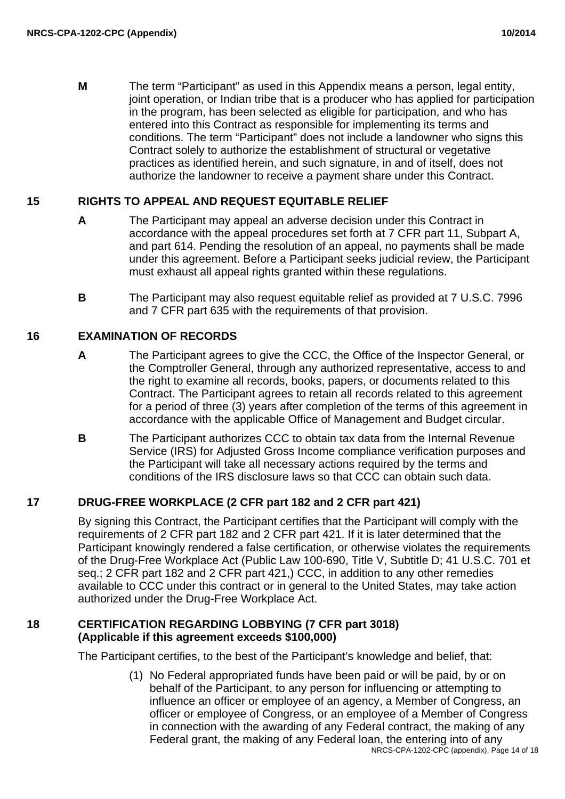**M** The term "Participant" as used in this Appendix means a person, legal entity, joint operation, or Indian tribe that is a producer who has applied for participation in the program, has been selected as eligible for participation, and who has entered into this Contract as responsible for implementing its terms and conditions. The term "Participant" does not include a landowner who signs this Contract solely to authorize the establishment of structural or vegetative practices as identified herein, and such signature, in and of itself, does not authorize the landowner to receive a payment share under this Contract.

# **15 RIGHTS TO APPEAL AND REQUEST EQUITABLE RELIEF**

- **A** The Participant may appeal an adverse decision under this Contract in accordance with the appeal procedures set forth at 7 CFR part 11, Subpart A, and part 614. Pending the resolution of an appeal, no payments shall be made under this agreement. Before a Participant seeks judicial review, the Participant must exhaust all appeal rights granted within these regulations.
- **B** The Participant may also request equitable relief as provided at 7 U.S.C. 7996 and 7 CFR part 635 with the requirements of that provision.

## **16 EXAMINATION OF RECORDS**

- **A** The Participant agrees to give the CCC, the Office of the Inspector General, or the Comptroller General, through any authorized representative, access to and the right to examine all records, books, papers, or documents related to this Contract. The Participant agrees to retain all records related to this agreement for a period of three (3) years after completion of the terms of this agreement in accordance with the applicable Office of Management and Budget circular.
- **B** The Participant authorizes CCC to obtain tax data from the Internal Revenue Service (IRS) for Adjusted Gross Income compliance verification purposes and the Participant will take all necessary actions required by the terms and conditions of the IRS disclosure laws so that CCC can obtain such data.

# **17 DRUG-FREE WORKPLACE (2 CFR part 182 and 2 CFR part 421)**

By signing this Contract, the Participant certifies that the Participant will comply with the requirements of 2 CFR part 182 and 2 CFR part 421. If it is later determined that the Participant knowingly rendered a false certification, or otherwise violates the requirements of the Drug-Free Workplace Act (Public Law 100-690, Title V, Subtitle D; 41 U.S.C. 701 et seq.; 2 CFR part 182 and 2 CFR part 421,) CCC, in addition to any other remedies available to CCC under this contract or in general to the United States, may take action authorized under the Drug-Free Workplace Act.

## **18 CERTIFICATION REGARDING LOBBYING (7 CFR part 3018) (Applicable if this agreement exceeds \$100,000)**

The Participant certifies, to the best of the Participant's knowledge and belief, that:

(1) No Federal appropriated funds have been paid or will be paid, by or on behalf of the Participant, to any person for influencing or attempting to influence an officer or employee of an agency, a Member of Congress, an officer or employee of Congress, or an employee of a Member of Congress in connection with the awarding of any Federal contract, the making of any Federal grant, the making of any Federal loan, the entering into of any NRCS-CPA-1202-CPC (appendix), Page 14 of 18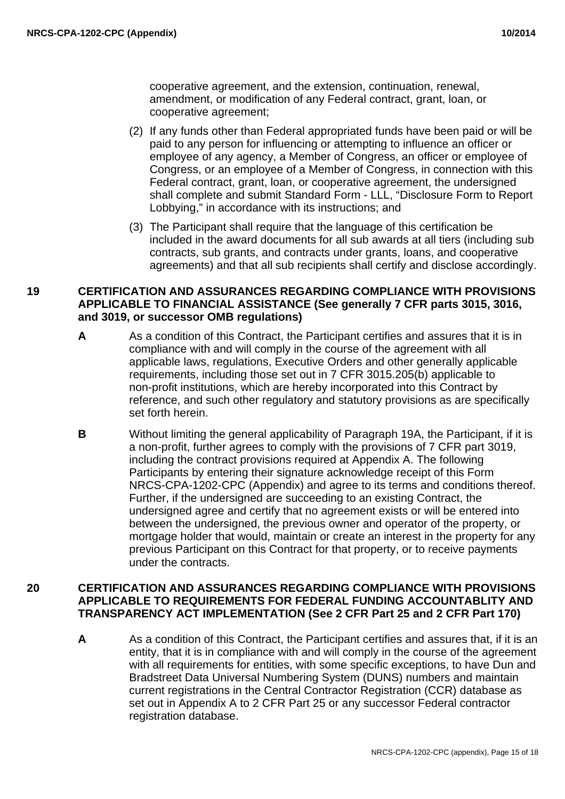cooperative agreement, and the extension, continuation, renewal, amendment, or modification of any Federal contract, grant, loan, or cooperative agreement;

- (2) If any funds other than Federal appropriated funds have been paid or will be paid to any person for influencing or attempting to influence an officer or employee of any agency, a Member of Congress, an officer or employee of Congress, or an employee of a Member of Congress, in connection with this Federal contract, grant, loan, or cooperative agreement, the undersigned shall complete and submit Standard Form - LLL, "Disclosure Form to Report Lobbying," in accordance with its instructions; and
- (3) The Participant shall require that the language of this certification be included in the award documents for all sub awards at all tiers (including sub contracts, sub grants, and contracts under grants, loans, and cooperative agreements) and that all sub recipients shall certify and disclose accordingly.

## **19 CERTIFICATION AND ASSURANCES REGARDING COMPLIANCE WITH PROVISIONS APPLICABLE TO FINANCIAL ASSISTANCE (See generally 7 CFR parts 3015, 3016, and 3019, or successor OMB regulations)**

- **A** As a condition of this Contract, the Participant certifies and assures that it is in compliance with and will comply in the course of the agreement with all applicable laws, regulations, Executive Orders and other generally applicable requirements, including those set out in 7 CFR 3015.205(b) applicable to non-profit institutions, which are hereby incorporated into this Contract by reference, and such other regulatory and statutory provisions as are specifically set forth herein.
- **B** Without limiting the general applicability of Paragraph 19A, the Participant, if it is a non-profit, further agrees to comply with the provisions of 7 CFR part 3019, including the contract provisions required at Appendix A. The following Participants by entering their signature acknowledge receipt of this Form NRCS-CPA-1202-CPC (Appendix) and agree to its terms and conditions thereof. Further, if the undersigned are succeeding to an existing Contract, the undersigned agree and certify that no agreement exists or will be entered into between the undersigned, the previous owner and operator of the property, or mortgage holder that would, maintain or create an interest in the property for any previous Participant on this Contract for that property, or to receive payments under the contracts.

## **20 CERTIFICATION AND ASSURANCES REGARDING COMPLIANCE WITH PROVISIONS APPLICABLE TO REQUIREMENTS FOR FEDERAL FUNDING ACCOUNTABLITY AND TRANSPARENCY ACT IMPLEMENTATION (See 2 CFR Part 25 and 2 CFR Part 170)**

**A** As a condition of this Contract, the Participant certifies and assures that, if it is an entity, that it is in compliance with and will comply in the course of the agreement with all requirements for entities, with some specific exceptions, to have Dun and Bradstreet Data Universal Numbering System (DUNS) numbers and maintain current registrations in the Central Contractor Registration (CCR) database as set out in Appendix A to 2 CFR Part 25 or any successor Federal contractor registration database.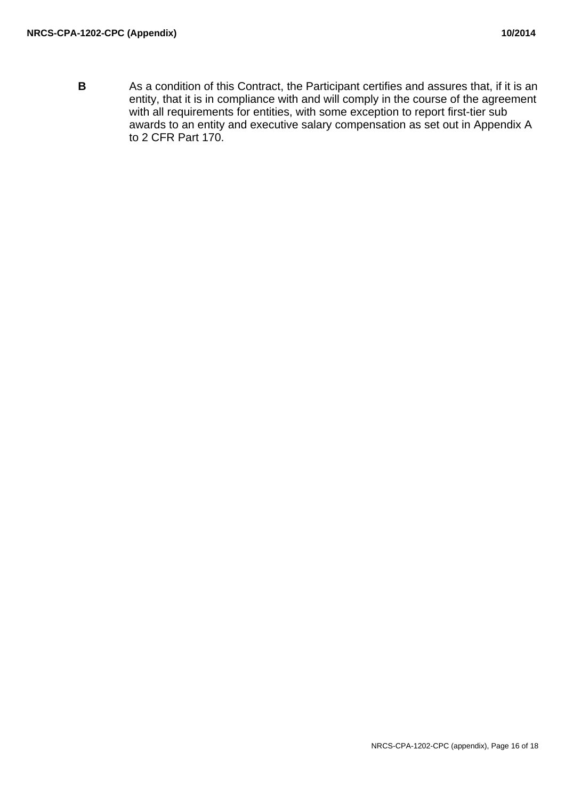**B** As a condition of this Contract, the Participant certifies and assures that, if it is an entity, that it is in compliance with and will comply in the course of the agreement with all requirements for entities, with some exception to report first-tier sub awards to an entity and executive salary compensation as set out in Appendix A to 2 CFR Part 170.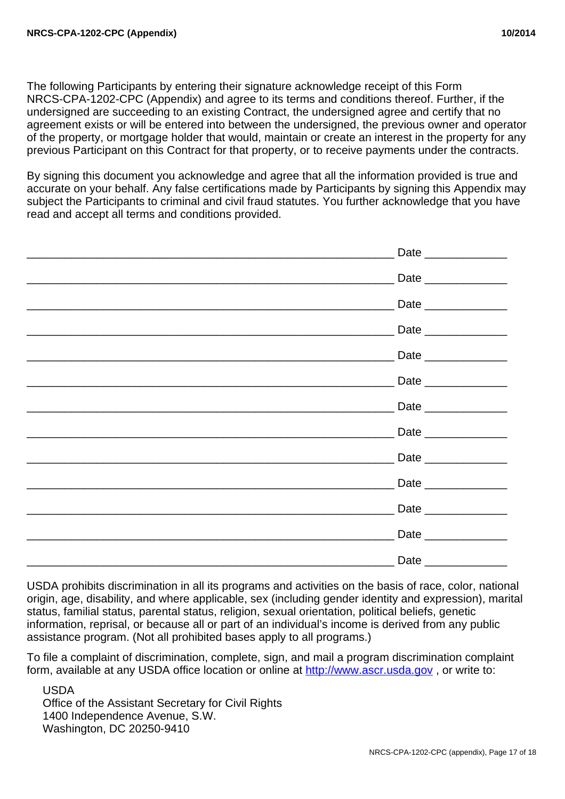The following Participants by entering their signature acknowledge receipt of this Form NRCS-CPA-1202-CPC (Appendix) and agree to its terms and conditions thereof. Further, if the undersigned are succeeding to an existing Contract, the undersigned agree and certify that no agreement exists or will be entered into between the undersigned, the previous owner and operator of the property, or mortgage holder that would, maintain or create an interest in the property for any previous Participant on this Contract for that property, or to receive payments under the contracts.

By signing this document you acknowledge and agree that all the information provided is true and accurate on your behalf. Any false certifications made by Participants by signing this Appendix may subject the Participants to criminal and civil fraud statutes. You further acknowledge that you have read and accept all terms and conditions provided.

|                                                                                                                       | Date _______________ |
|-----------------------------------------------------------------------------------------------------------------------|----------------------|
|                                                                                                                       | Date _______________ |
| <u> Alexandria de la contrada de la contrada de la contrada de la contrada de la con</u>                              | Date _______________ |
| <u> 1989 - Johann Johann Stoff, deutscher Stoffen und der Stoffen und der Stoffen und der Stoffen und der Stoffen</u> | Date _______________ |
|                                                                                                                       | Date _______________ |
| <u> 1989 - Jan Berlin, Amerikaansk politiker (* 1908)</u>                                                             | Date _______________ |
|                                                                                                                       | Date _______________ |
|                                                                                                                       | Date _______________ |
|                                                                                                                       | Date _______________ |
|                                                                                                                       |                      |
|                                                                                                                       | Date _______________ |
|                                                                                                                       | Date _______________ |
|                                                                                                                       |                      |
|                                                                                                                       |                      |

USDA prohibits discrimination in all its programs and activities on the basis of race, color, national origin, age, disability, and where applicable, sex (including gender identity and expression), marital status, familial status, parental status, religion, sexual orientation, political beliefs, genetic information, reprisal, or because all or part of an individual's income is derived from any public assistance program. (Not all prohibited bases apply to all programs.)

To file a complaint of discrimination, complete, sign, and mail a program discrimination complaint form, available at any USDA office location or online at http://www.ascr.usda.gov , or write to:

USDA Office of the Assistant Secretary for Civil Rights 1400 Independence Avenue, S.W. Washington, DC 20250-9410